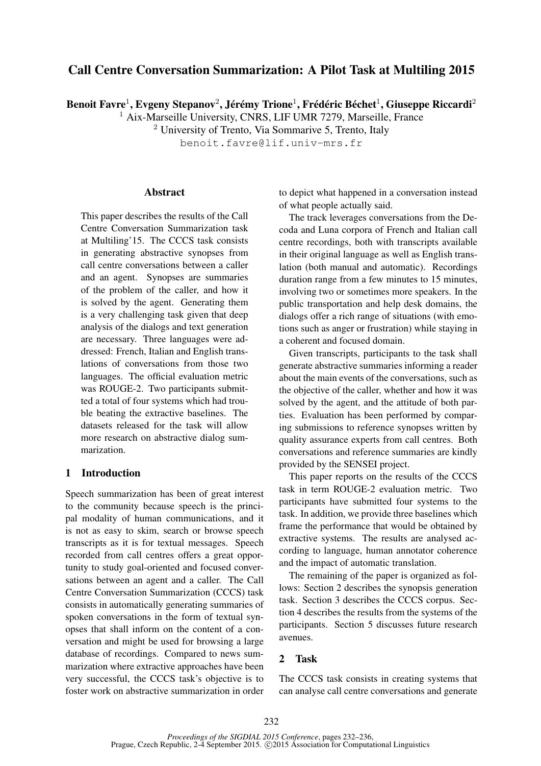# Call Centre Conversation Summarization: A Pilot Task at Multiling 2015

Benoit Favre $^1$ , Evgeny Stepanov $^2$ , Jérémy Trione $^1$ , Frédéric Béchet $^1$ , Giuseppe Riccardi $^2$ 

<sup>1</sup> Aix-Marseille University, CNRS, LIF UMR 7279, Marseille, France

<sup>2</sup> University of Trento, Via Sommarive 5, Trento, Italy

benoit.favre@lif.univ-mrs.fr

#### **Abstract**

This paper describes the results of the Call Centre Conversation Summarization task at Multiling'15. The CCCS task consists in generating abstractive synopses from call centre conversations between a caller and an agent. Synopses are summaries of the problem of the caller, and how it is solved by the agent. Generating them is a very challenging task given that deep analysis of the dialogs and text generation are necessary. Three languages were addressed: French, Italian and English translations of conversations from those two languages. The official evaluation metric was ROUGE-2. Two participants submitted a total of four systems which had trouble beating the extractive baselines. The datasets released for the task will allow more research on abstractive dialog summarization.

# 1 Introduction

Speech summarization has been of great interest to the community because speech is the principal modality of human communications, and it is not as easy to skim, search or browse speech transcripts as it is for textual messages. Speech recorded from call centres offers a great opportunity to study goal-oriented and focused conversations between an agent and a caller. The Call Centre Conversation Summarization (CCCS) task consists in automatically generating summaries of spoken conversations in the form of textual synopses that shall inform on the content of a conversation and might be used for browsing a large database of recordings. Compared to news summarization where extractive approaches have been very successful, the CCCS task's objective is to foster work on abstractive summarization in order to depict what happened in a conversation instead of what people actually said.

The track leverages conversations from the Decoda and Luna corpora of French and Italian call centre recordings, both with transcripts available in their original language as well as English translation (both manual and automatic). Recordings duration range from a few minutes to 15 minutes, involving two or sometimes more speakers. In the public transportation and help desk domains, the dialogs offer a rich range of situations (with emotions such as anger or frustration) while staying in a coherent and focused domain.

Given transcripts, participants to the task shall generate abstractive summaries informing a reader about the main events of the conversations, such as the objective of the caller, whether and how it was solved by the agent, and the attitude of both parties. Evaluation has been performed by comparing submissions to reference synopses written by quality assurance experts from call centres. Both conversations and reference summaries are kindly provided by the SENSEI project.

This paper reports on the results of the CCCS task in term ROUGE-2 evaluation metric. Two participants have submitted four systems to the task. In addition, we provide three baselines which frame the performance that would be obtained by extractive systems. The results are analysed according to language, human annotator coherence and the impact of automatic translation.

The remaining of the paper is organized as follows: Section 2 describes the synopsis generation task. Section 3 describes the CCCS corpus. Section 4 describes the results from the systems of the participants. Section 5 discusses future research avenues.

## 2 Task

The CCCS task consists in creating systems that can analyse call centre conversations and generate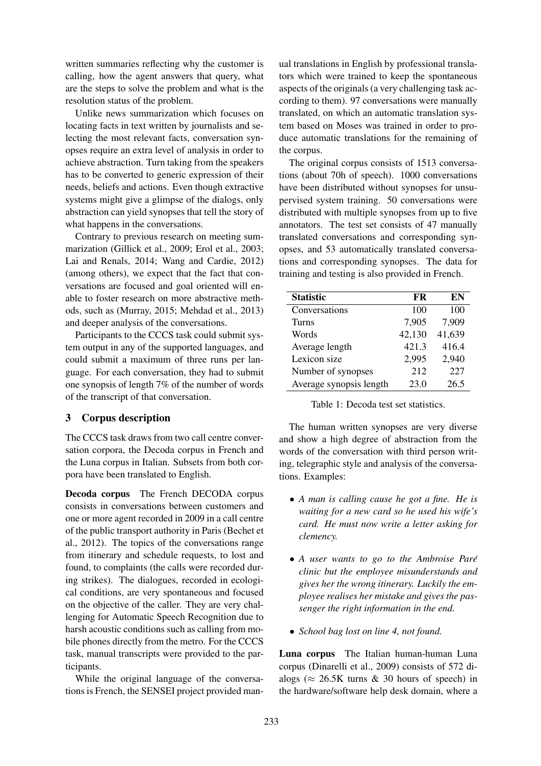written summaries reflecting why the customer is calling, how the agent answers that query, what are the steps to solve the problem and what is the resolution status of the problem.

Unlike news summarization which focuses on locating facts in text written by journalists and selecting the most relevant facts, conversation synopses require an extra level of analysis in order to achieve abstraction. Turn taking from the speakers has to be converted to generic expression of their needs, beliefs and actions. Even though extractive systems might give a glimpse of the dialogs, only abstraction can yield synopses that tell the story of what happens in the conversations.

Contrary to previous research on meeting summarization (Gillick et al., 2009; Erol et al., 2003; Lai and Renals, 2014; Wang and Cardie, 2012) (among others), we expect that the fact that conversations are focused and goal oriented will enable to foster research on more abstractive methods, such as (Murray, 2015; Mehdad et al., 2013) and deeper analysis of the conversations.

Participants to the CCCS task could submit system output in any of the supported languages, and could submit a maximum of three runs per language. For each conversation, they had to submit one synopsis of length 7% of the number of words of the transcript of that conversation.

# 3 Corpus description

The CCCS task draws from two call centre conversation corpora, the Decoda corpus in French and the Luna corpus in Italian. Subsets from both corpora have been translated to English.

Decoda corpus The French DECODA corpus consists in conversations between customers and one or more agent recorded in 2009 in a call centre of the public transport authority in Paris (Bechet et al., 2012). The topics of the conversations range from itinerary and schedule requests, to lost and found, to complaints (the calls were recorded during strikes). The dialogues, recorded in ecological conditions, are very spontaneous and focused on the objective of the caller. They are very challenging for Automatic Speech Recognition due to harsh acoustic conditions such as calling from mobile phones directly from the metro. For the CCCS task, manual transcripts were provided to the participants.

While the original language of the conversations is French, the SENSEI project provided man-

ual translations in English by professional translators which were trained to keep the spontaneous aspects of the originals (a very challenging task according to them). 97 conversations were manually translated, on which an automatic translation system based on Moses was trained in order to produce automatic translations for the remaining of the corpus.

The original corpus consists of 1513 conversations (about 70h of speech). 1000 conversations have been distributed without synopses for unsupervised system training. 50 conversations were distributed with multiple synopses from up to five annotators. The test set consists of 47 manually translated conversations and corresponding synopses, and 53 automatically translated conversations and corresponding synopses. The data for training and testing is also provided in French.

| <b>Statistic</b>        | FR     | EN     |
|-------------------------|--------|--------|
| Conversations           | 100    | 100    |
| Turns                   | 7,905  | 7,909  |
| Words                   | 42,130 | 41,639 |
| Average length          | 421.3  | 416.4  |
| Lexicon size            | 2,995  | 2,940  |
| Number of synopses      | 212    | 227    |
| Average synopsis length | 23.0   | 26.5   |

Table 1: Decoda test set statistics.

The human written synopses are very diverse and show a high degree of abstraction from the words of the conversation with third person writing, telegraphic style and analysis of the conversations. Examples:

- *A man is calling cause he got a fine. He is waiting for a new card so he used his wife's card. He must now write a letter asking for clemency.*
- *A user wants to go to the Ambroise Pare´ clinic but the employee misunderstands and gives her the wrong itinerary. Luckily the employee realises her mistake and gives the passenger the right information in the end.*
- *School bag lost on line 4, not found.*

Luna corpus The Italian human-human Luna corpus (Dinarelli et al., 2009) consists of 572 dialogs ( $\approx$  26.5K turns & 30 hours of speech) in the hardware/software help desk domain, where a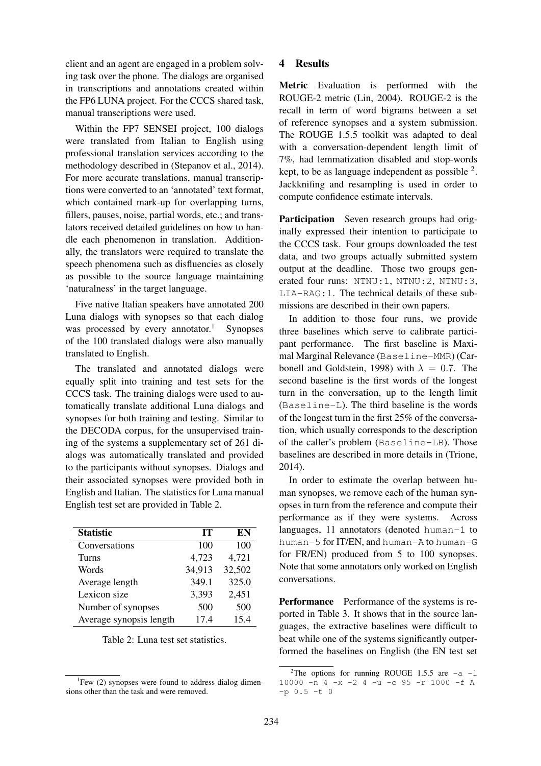client and an agent are engaged in a problem solving task over the phone. The dialogs are organised in transcriptions and annotations created within the FP6 LUNA project. For the CCCS shared task, manual transcriptions were used.

Within the FP7 SENSEI project, 100 dialogs were translated from Italian to English using professional translation services according to the methodology described in (Stepanov et al., 2014). For more accurate translations, manual transcriptions were converted to an 'annotated' text format, which contained mark-up for overlapping turns, fillers, pauses, noise, partial words, etc.; and translators received detailed guidelines on how to handle each phenomenon in translation. Additionally, the translators were required to translate the speech phenomena such as disfluencies as closely as possible to the source language maintaining 'naturalness' in the target language.

Five native Italian speakers have annotated 200 Luna dialogs with synopses so that each dialog was processed by every annotator.<sup>1</sup> Synopses of the 100 translated dialogs were also manually translated to English.

The translated and annotated dialogs were equally split into training and test sets for the CCCS task. The training dialogs were used to automatically translate additional Luna dialogs and synopses for both training and testing. Similar to the DECODA corpus, for the unsupervised training of the systems a supplementary set of 261 dialogs was automatically translated and provided to the participants without synopses. Dialogs and their associated synopses were provided both in English and Italian. The statistics for Luna manual English test set are provided in Table 2.

| <b>Statistic</b>        | TТ     | EN     |
|-------------------------|--------|--------|
| Conversations           | 100    | 100    |
| Turns                   | 4,723  | 4,721  |
| Words                   | 34,913 | 32,502 |
| Average length          | 349.1  | 325.0  |
| Lexicon size            | 3,393  | 2,451  |
| Number of synopses      | 500    | 500    |
| Average synopsis length | 17.4   | 15.4   |

Table 2: Luna test set statistics.

### 4 Results

Metric Evaluation is performed with the ROUGE-2 metric (Lin, 2004). ROUGE-2 is the recall in term of word bigrams between a set of reference synopses and a system submission. The ROUGE 1.5.5 toolkit was adapted to deal with a conversation-dependent length limit of 7%, had lemmatization disabled and stop-words kept, to be as language independent as possible  $2$ . Jackknifing and resampling is used in order to compute confidence estimate intervals.

Participation Seven research groups had originally expressed their intention to participate to the CCCS task. Four groups downloaded the test data, and two groups actually submitted system output at the deadline. Those two groups generated four runs: NTNU: 1, NTNU: 2, NTNU: 3, LIA-RAG:1. The technical details of these submissions are described in their own papers.

In addition to those four runs, we provide three baselines which serve to calibrate participant performance. The first baseline is Maximal Marginal Relevance (Baseline-MMR) (Carbonell and Goldstein, 1998) with  $\lambda = 0.7$ . The second baseline is the first words of the longest turn in the conversation, up to the length limit (Baseline-L). The third baseline is the words of the longest turn in the first 25% of the conversation, which usually corresponds to the description of the caller's problem (Baseline-LB). Those baselines are described in more details in (Trione, 2014).

In order to estimate the overlap between human synopses, we remove each of the human synopses in turn from the reference and compute their performance as if they were systems. Across languages, 11 annotators (denoted human-1 to human-5 for IT/EN, and human-A to human-G for FR/EN) produced from 5 to 100 synopses. Note that some annotators only worked on English conversations.

Performance Performance of the systems is reported in Table 3. It shows that in the source languages, the extractive baselines were difficult to beat while one of the systems significantly outperformed the baselines on English (the EN test set

<sup>&</sup>lt;sup>1</sup>Few (2) synopses were found to address dialog dimensions other than the task and were removed.

<sup>&</sup>lt;sup>2</sup>The options for running ROUGE 1.5.5 are  $-a$  -1 10000  $-n$  4  $-x$   $-2$  4  $-n$   $-c$  95  $-r$  1000  $-f$  A  $-p 0.5 -t 0$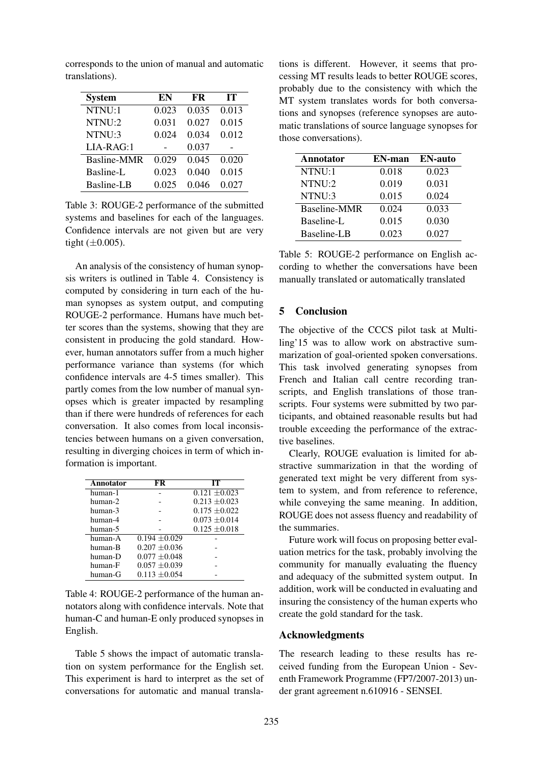corresponds to the union of manual and automatic translations).

| <b>System</b> | EN    | <b>FR</b> | IТ    |
|---------------|-------|-----------|-------|
| NTNU:1        | 0.023 | 0.035     | 0.013 |
| NTNU:2        | 0.031 | 0.027     | 0.015 |
| NTNU:3        | 0.024 | 0.034     | 0.012 |
| $LIA-RAG:1$   |       | 0.037     |       |
| Basline-MMR   | 0.029 | 0.045     | 0.020 |
| Basline-L     | 0.023 | 0.040     | 0.015 |
| Basline-LB    | 0.025 | 0.046     | 0.027 |

Table 3: ROUGE-2 performance of the submitted systems and baselines for each of the languages. Confidence intervals are not given but are very tight  $(\pm 0.005)$ .

An analysis of the consistency of human synopsis writers is outlined in Table 4. Consistency is computed by considering in turn each of the human synopses as system output, and computing ROUGE-2 performance. Humans have much better scores than the systems, showing that they are consistent in producing the gold standard. However, human annotators suffer from a much higher performance variance than systems (for which confidence intervals are 4-5 times smaller). This partly comes from the low number of manual synopses which is greater impacted by resampling than if there were hundreds of references for each conversation. It also comes from local inconsistencies between humans on a given conversation, resulting in diverging choices in term of which information is important.

| Annotator | FR                | IТ                |
|-----------|-------------------|-------------------|
| human-1   |                   | $0.121 \pm 0.023$ |
| human-2   |                   | $0.213 \pm 0.023$ |
| human-3   |                   | $0.175 + 0.022$   |
| human-4   |                   | $0.073 \pm 0.014$ |
| human-5   |                   | $0.125 \pm 0.018$ |
| human-A   | $0.194 + 0.029$   |                   |
| human-B   | $0.207 \pm 0.036$ |                   |
| human-D   | $0.077 \pm 0.048$ |                   |
| human-F   | $0.057 + 0.039$   |                   |
| human-G   | $0.113 + 0.054$   |                   |

Table 4: ROUGE-2 performance of the human annotators along with confidence intervals. Note that human-C and human-E only produced synopses in English.

Table 5 shows the impact of automatic translation on system performance for the English set. This experiment is hard to interpret as the set of conversations for automatic and manual transla-

tions is different. However, it seems that processing MT results leads to better ROUGE scores, probably due to the consistency with which the MT system translates words for both conversations and synopses (reference synopses are automatic translations of source language synopses for those conversations).

| <b>Annotator</b> | EN-man | <b>EN-auto</b> |
|------------------|--------|----------------|
| NTNU:1           | 0.018  | 0.023          |
| NTNU:2           | 0.019  | 0.031          |
| NTNU:3           | 0.015  | 0.024          |
| Baseline-MMR     | 0.024  | 0.033          |
| Baseline-L       | 0.015  | 0.030          |
| Baseline-LB      | 0.023  | 0.027          |

Table 5: ROUGE-2 performance on English according to whether the conversations have been manually translated or automatically translated

## 5 Conclusion

The objective of the CCCS pilot task at Multiling'15 was to allow work on abstractive summarization of goal-oriented spoken conversations. This task involved generating synopses from French and Italian call centre recording transcripts, and English translations of those transcripts. Four systems were submitted by two participants, and obtained reasonable results but had trouble exceeding the performance of the extractive baselines.

Clearly, ROUGE evaluation is limited for abstractive summarization in that the wording of generated text might be very different from system to system, and from reference to reference, while conveying the same meaning. In addition, ROUGE does not assess fluency and readability of the summaries.

Future work will focus on proposing better evaluation metrics for the task, probably involving the community for manually evaluating the fluency and adequacy of the submitted system output. In addition, work will be conducted in evaluating and insuring the consistency of the human experts who create the gold standard for the task.

## Acknowledgments

The research leading to these results has received funding from the European Union - Seventh Framework Programme (FP7/2007-2013) under grant agreement n.610916 - SENSEI.